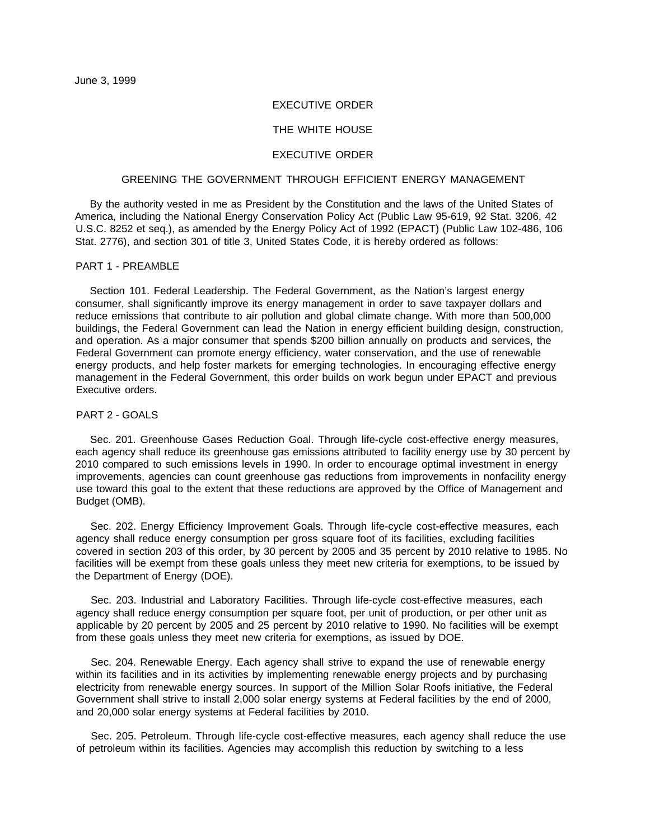## EXECUTIVE ORDER

#### THE WHITE HOUSE

#### EXECUTIVE ORDER

#### GREENING THE GOVERNMENT THROUGH EFFICIENT ENERGY MANAGEMENT

By the authority vested in me as President by the Constitution and the laws of the United States of America, including the National Energy Conservation Policy Act (Public Law 95-619, 92 Stat. 3206, 42 U.S.C. 8252 et seq.), as amended by the Energy Policy Act of 1992 (EPACT) (Public Law 102-486, 106 Stat. 2776), and section 301 of title 3, United States Code, it is hereby ordered as follows:

## PART 1 - PREAMBLE

Section 101. Federal Leadership. The Federal Government, as the Nation's largest energy consumer, shall significantly improve its energy management in order to save taxpayer dollars and reduce emissions that contribute to air pollution and global climate change. With more than 500,000 buildings, the Federal Government can lead the Nation in energy efficient building design, construction, and operation. As a major consumer that spends \$200 billion annually on products and services, the Federal Government can promote energy efficiency, water conservation, and the use of renewable energy products, and help foster markets for emerging technologies. In encouraging effective energy management in the Federal Government, this order builds on work begun under EPACT and previous Executive orders.

#### PART 2 - GOALS

Sec. 201. Greenhouse Gases Reduction Goal. Through life-cycle cost-effective energy measures, each agency shall reduce its greenhouse gas emissions attributed to facility energy use by 30 percent by 2010 compared to such emissions levels in 1990. In order to encourage optimal investment in energy improvements, agencies can count greenhouse gas reductions from improvements in nonfacility energy use toward this goal to the extent that these reductions are approved by the Office of Management and Budget (OMB).

Sec. 202. Energy Efficiency Improvement Goals. Through life-cycle cost-effective measures, each agency shall reduce energy consumption per gross square foot of its facilities, excluding facilities covered in section 203 of this order, by 30 percent by 2005 and 35 percent by 2010 relative to 1985. No facilities will be exempt from these goals unless they meet new criteria for exemptions, to be issued by the Department of Energy (DOE).

Sec. 203. Industrial and Laboratory Facilities. Through life-cycle cost-effective measures, each agency shall reduce energy consumption per square foot, per unit of production, or per other unit as applicable by 20 percent by 2005 and 25 percent by 2010 relative to 1990. No facilities will be exempt from these goals unless they meet new criteria for exemptions, as issued by DOE.

Sec. 204. Renewable Energy. Each agency shall strive to expand the use of renewable energy within its facilities and in its activities by implementing renewable energy projects and by purchasing electricity from renewable energy sources. In support of the Million Solar Roofs initiative, the Federal Government shall strive to install 2,000 solar energy systems at Federal facilities by the end of 2000, and 20,000 solar energy systems at Federal facilities by 2010.

Sec. 205. Petroleum. Through life-cycle cost-effective measures, each agency shall reduce the use of petroleum within its facilities. Agencies may accomplish this reduction by switching to a less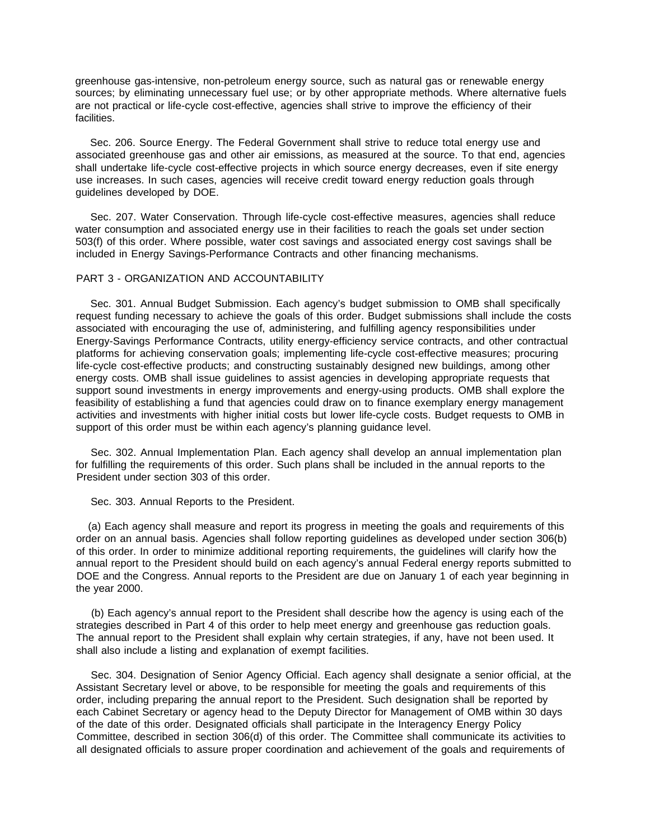greenhouse gas-intensive, non-petroleum energy source, such as natural gas or renewable energy sources; by eliminating unnecessary fuel use; or by other appropriate methods. Where alternative fuels are not practical or life-cycle cost-effective, agencies shall strive to improve the efficiency of their facilities.

Sec. 206. Source Energy. The Federal Government shall strive to reduce total energy use and associated greenhouse gas and other air emissions, as measured at the source. To that end, agencies shall undertake life-cycle cost-effective projects in which source energy decreases, even if site energy use increases. In such cases, agencies will receive credit toward energy reduction goals through guidelines developed by DOE.

Sec. 207. Water Conservation. Through life-cycle cost-effective measures, agencies shall reduce water consumption and associated energy use in their facilities to reach the goals set under section 503(f) of this order. Where possible, water cost savings and associated energy cost savings shall be included in Energy Savings-Performance Contracts and other financing mechanisms.

### PART 3 - ORGANIZATION AND ACCOUNTABILITY

Sec. 301. Annual Budget Submission. Each agency's budget submission to OMB shall specifically request funding necessary to achieve the goals of this order. Budget submissions shall include the costs associated with encouraging the use of, administering, and fulfilling agency responsibilities under Energy-Savings Performance Contracts, utility energy-efficiency service contracts, and other contractual platforms for achieving conservation goals; implementing life-cycle cost-effective measures; procuring life-cycle cost-effective products; and constructing sustainably designed new buildings, among other energy costs. OMB shall issue guidelines to assist agencies in developing appropriate requests that support sound investments in energy improvements and energy-using products. OMB shall explore the feasibility of establishing a fund that agencies could draw on to finance exemplary energy management activities and investments with higher initial costs but lower life-cycle costs. Budget requests to OMB in support of this order must be within each agency's planning guidance level.

Sec. 302. Annual Implementation Plan. Each agency shall develop an annual implementation plan for fulfilling the requirements of this order. Such plans shall be included in the annual reports to the President under section 303 of this order.

#### Sec. 303. Annual Reports to the President.

(a) Each agency shall measure and report its progress in meeting the goals and requirements of this order on an annual basis. Agencies shall follow reporting guidelines as developed under section 306(b) of this order. In order to minimize additional reporting requirements, the guidelines will clarify how the annual report to the President should build on each agency's annual Federal energy reports submitted to DOE and the Congress. Annual reports to the President are due on January 1 of each year beginning in the year 2000.

(b) Each agency's annual report to the President shall describe how the agency is using each of the strategies described in Part 4 of this order to help meet energy and greenhouse gas reduction goals. The annual report to the President shall explain why certain strategies, if any, have not been used. It shall also include a listing and explanation of exempt facilities.

Sec. 304. Designation of Senior Agency Official. Each agency shall designate a senior official, at the Assistant Secretary level or above, to be responsible for meeting the goals and requirements of this order, including preparing the annual report to the President. Such designation shall be reported by each Cabinet Secretary or agency head to the Deputy Director for Management of OMB within 30 days of the date of this order. Designated officials shall participate in the Interagency Energy Policy Committee, described in section 306(d) of this order. The Committee shall communicate its activities to all designated officials to assure proper coordination and achievement of the goals and requirements of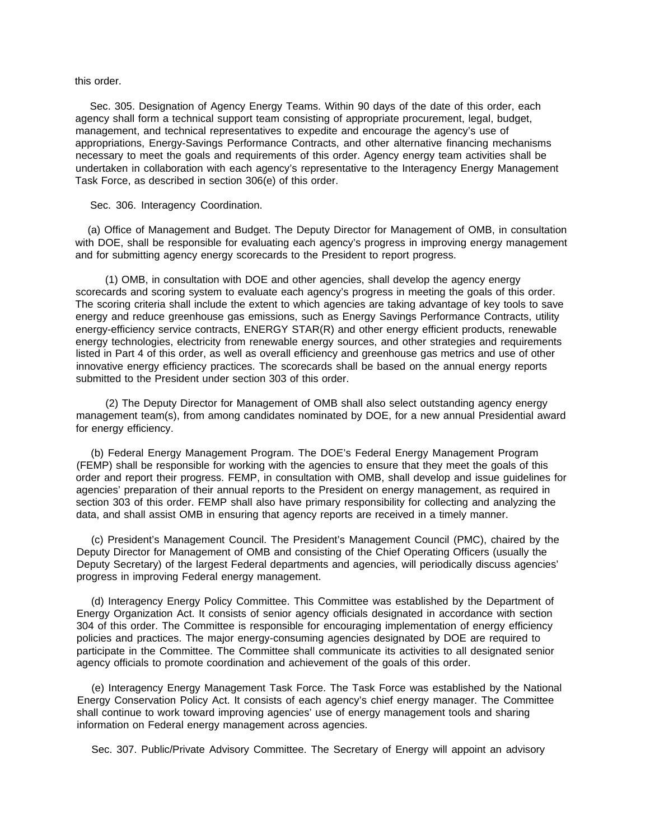#### this order.

Sec. 305. Designation of Agency Energy Teams. Within 90 days of the date of this order, each agency shall form a technical support team consisting of appropriate procurement, legal, budget, management, and technical representatives to expedite and encourage the agency's use of appropriations, Energy-Savings Performance Contracts, and other alternative financing mechanisms necessary to meet the goals and requirements of this order. Agency energy team activities shall be undertaken in collaboration with each agency's representative to the Interagency Energy Management Task Force, as described in section 306(e) of this order.

Sec. 306. Interagency Coordination.

(a) Office of Management and Budget. The Deputy Director for Management of OMB, in consultation with DOE, shall be responsible for evaluating each agency's progress in improving energy management and for submitting agency energy scorecards to the President to report progress.

(1) OMB, in consultation with DOE and other agencies, shall develop the agency energy scorecards and scoring system to evaluate each agency's progress in meeting the goals of this order. The scoring criteria shall include the extent to which agencies are taking advantage of key tools to save energy and reduce greenhouse gas emissions, such as Energy Savings Performance Contracts, utility energy-efficiency service contracts, ENERGY STAR(R) and other energy efficient products, renewable energy technologies, electricity from renewable energy sources, and other strategies and requirements listed in Part 4 of this order, as well as overall efficiency and greenhouse gas metrics and use of other innovative energy efficiency practices. The scorecards shall be based on the annual energy reports submitted to the President under section 303 of this order.

(2) The Deputy Director for Management of OMB shall also select outstanding agency energy management team(s), from among candidates nominated by DOE, for a new annual Presidential award for energy efficiency.

(b) Federal Energy Management Program. The DOE's Federal Energy Management Program (FEMP) shall be responsible for working with the agencies to ensure that they meet the goals of this order and report their progress. FEMP, in consultation with OMB, shall develop and issue guidelines for agencies' preparation of their annual reports to the President on energy management, as required in section 303 of this order. FEMP shall also have primary responsibility for collecting and analyzing the data, and shall assist OMB in ensuring that agency reports are received in a timely manner.

(c) President's Management Council. The President's Management Council (PMC), chaired by the Deputy Director for Management of OMB and consisting of the Chief Operating Officers (usually the Deputy Secretary) of the largest Federal departments and agencies, will periodically discuss agencies' progress in improving Federal energy management.

(d) Interagency Energy Policy Committee. This Committee was established by the Department of Energy Organization Act. It consists of senior agency officials designated in accordance with section 304 of this order. The Committee is responsible for encouraging implementation of energy efficiency policies and practices. The major energy-consuming agencies designated by DOE are required to participate in the Committee. The Committee shall communicate its activities to all designated senior agency officials to promote coordination and achievement of the goals of this order.

(e) Interagency Energy Management Task Force. The Task Force was established by the National Energy Conservation Policy Act. It consists of each agency's chief energy manager. The Committee shall continue to work toward improving agencies' use of energy management tools and sharing information on Federal energy management across agencies.

Sec. 307. Public/Private Advisory Committee. The Secretary of Energy will appoint an advisory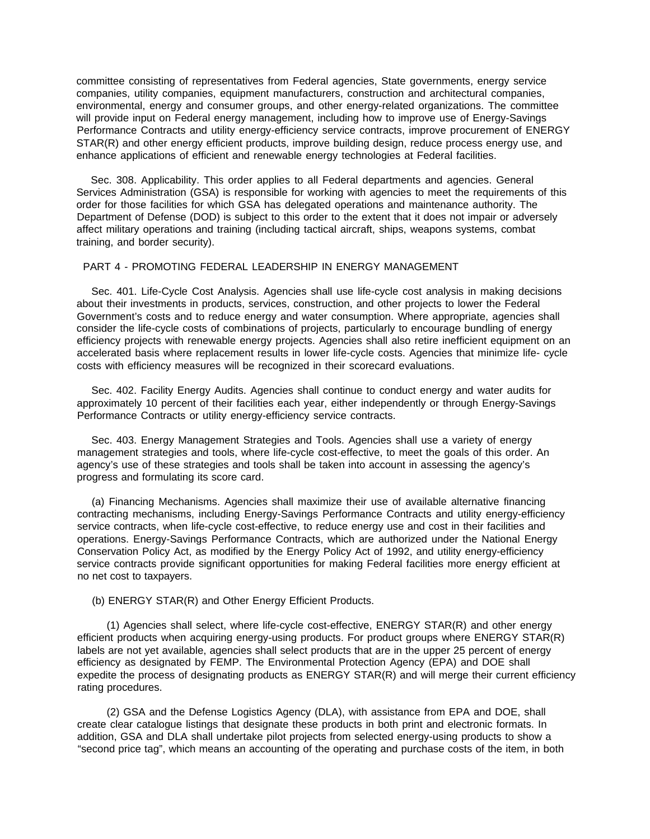committee consisting of representatives from Federal agencies, State governments, energy service companies, utility companies, equipment manufacturers, construction and architectural companies, environmental, energy and consumer groups, and other energy-related organizations. The committee will provide input on Federal energy management, including how to improve use of Energy-Savings Performance Contracts and utility energy-efficiency service contracts, improve procurement of ENERGY STAR(R) and other energy efficient products, improve building design, reduce process energy use, and enhance applications of efficient and renewable energy technologies at Federal facilities.

Sec. 308. Applicability. This order applies to all Federal departments and agencies. General Services Administration (GSA) is responsible for working with agencies to meet the requirements of this order for those facilities for which GSA has delegated operations and maintenance authority. The Department of Defense (DOD) is subject to this order to the extent that it does not impair or adversely affect military operations and training (including tactical aircraft, ships, weapons systems, combat training, and border security).

## PART 4 - PROMOTING FEDERAL LEADERSHIP IN ENERGY MANAGEMENT

Sec. 401. Life-Cycle Cost Analysis. Agencies shall use life-cycle cost analysis in making decisions about their investments in products, services, construction, and other projects to lower the Federal Government's costs and to reduce energy and water consumption. Where appropriate, agencies shall consider the life-cycle costs of combinations of projects, particularly to encourage bundling of energy efficiency projects with renewable energy projects. Agencies shall also retire inefficient equipment on an accelerated basis where replacement results in lower life-cycle costs. Agencies that minimize life- cycle costs with efficiency measures will be recognized in their scorecard evaluations.

Sec. 402. Facility Energy Audits. Agencies shall continue to conduct energy and water audits for approximately 10 percent of their facilities each year, either independently or through Energy-Savings Performance Contracts or utility energy-efficiency service contracts.

Sec. 403. Energy Management Strategies and Tools. Agencies shall use a variety of energy management strategies and tools, where life-cycle cost-effective, to meet the goals of this order. An agency's use of these strategies and tools shall be taken into account in assessing the agency's progress and formulating its score card.

(a) Financing Mechanisms. Agencies shall maximize their use of available alternative financing contracting mechanisms, including Energy-Savings Performance Contracts and utility energy-efficiency service contracts, when life-cycle cost-effective, to reduce energy use and cost in their facilities and operations. Energy-Savings Performance Contracts, which are authorized under the National Energy Conservation Policy Act, as modified by the Energy Policy Act of 1992, and utility energy-efficiency service contracts provide significant opportunities for making Federal facilities more energy efficient at no net cost to taxpayers.

(b) ENERGY STAR(R) and Other Energy Efficient Products.

(1) Agencies shall select, where life-cycle cost-effective, ENERGY STAR(R) and other energy efficient products when acquiring energy-using products. For product groups where ENERGY STAR(R) labels are not yet available, agencies shall select products that are in the upper 25 percent of energy efficiency as designated by FEMP. The Environmental Protection Agency (EPA) and DOE shall expedite the process of designating products as ENERGY STAR(R) and will merge their current efficiency rating procedures.

(2) GSA and the Defense Logistics Agency (DLA), with assistance from EPA and DOE, shall create clear catalogue listings that designate these products in both print and electronic formats. In addition, GSA and DLA shall undertake pilot projects from selected energy-using products to show a "second price tag", which means an accounting of the operating and purchase costs of the item, in both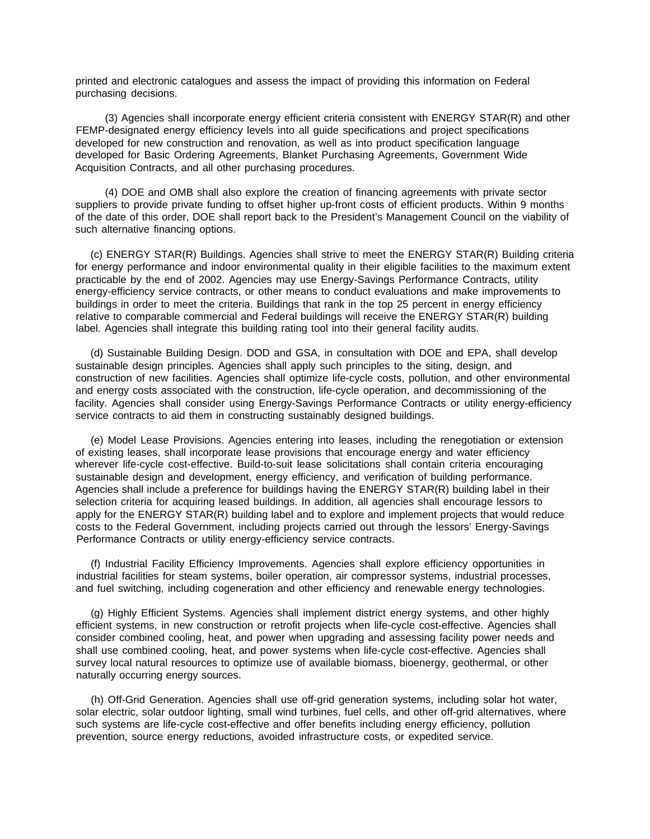printed and electronic catalogues and assess the impact of providing this information on Federal purchasing decisions.

(3) Agencies shall incorporate energy efficient criteria consistent with ENERGY STAR(R) and other FEMP-designated energy efficiency levels into all guide specifications and project specifications developed for new construction and renovation, as well as into product specification language developed for Basic Ordering Agreements, Blanket Purchasing Agreements, Government Wide Acquisition Contracts, and all other purchasing procedures.

(4) DOE and OMB shall also explore the creation of financing agreements with private sector suppliers to provide private funding to offset higher up-front costs of efficient products. Within 9 months of the date of this order, DOE shall report back to the President's Management Council on the viability of such alternative financing options.

(c) ENERGY STAR(R) Buildings. Agencies shall strive to meet the ENERGY STAR(R) Building criteria for energy performance and indoor environmental quality in their eligible facilities to the maximum extent practicable by the end of 2002. Agencies may use Energy-Savings Performance Contracts, utility energy-efficiency service contracts, or other means to conduct evaluations and make improvements to buildings in order to meet the criteria. Buildings that rank in the top 25 percent in energy efficiency relative to comparable commercial and Federal buildings will receive the ENERGY STAR(R) building label. Agencies shall integrate this building rating tool into their general facility audits.

(d) Sustainable Building Design. DOD and GSA, in consultation with DOE and EPA, shall develop sustainable design principles. Agencies shall apply such principles to the siting, design, and construction of new facilities. Agencies shall optimize life-cycle costs, pollution, and other environmental and energy costs associated with the construction, life-cycle operation, and decommissioning of the facility. Agencies shall consider using Energy-Savings Performance Contracts or utility energy-efficiency service contracts to aid them in constructing sustainably designed buildings.

(e) Model Lease Provisions. Agencies entering into leases, including the renegotiation or extension of existing leases, shall incorporate lease provisions that encourage energy and water efficiency wherever life-cycle cost-effective. Build-to-suit lease solicitations shall contain criteria encouraging sustainable design and development, energy efficiency, and verification of building performance. Agencies shall include a preference for buildings having the ENERGY STAR(R) building label in their selection criteria for acquiring leased buildings. In addition, all agencies shall encourage lessors to apply for the ENERGY STAR(R) building label and to explore and implement projects that would reduce costs to the Federal Government, including projects carried out through the lessors' Energy-Savings Performance Contracts or utility energy-efficiency service contracts.

(f) Industrial Facility Efficiency Improvements. Agencies shall explore efficiency opportunities in industrial facilities for steam systems, boiler operation, air compressor systems, industrial processes, and fuel switching, including cogeneration and other efficiency and renewable energy technologies.

(g) Highly Efficient Systems. Agencies shall implement district energy systems, and other highly efficient systems, in new construction or retrofit projects when life-cycle cost-effective. Agencies shall consider combined cooling, heat, and power when upgrading and assessing facility power needs and shall use combined cooling, heat, and power systems when life-cycle cost-effective. Agencies shall survey local natural resources to optimize use of available biomass, bioenergy, geothermal, or other naturally occurring energy sources.

(h) Off-Grid Generation. Agencies shall use off-grid generation systems, including solar hot water, solar electric, solar outdoor lighting, small wind turbines, fuel cells, and other off-grid alternatives, where such systems are life-cycle cost-effective and offer benefits including energy efficiency, pollution prevention, source energy reductions, avoided infrastructure costs, or expedited service.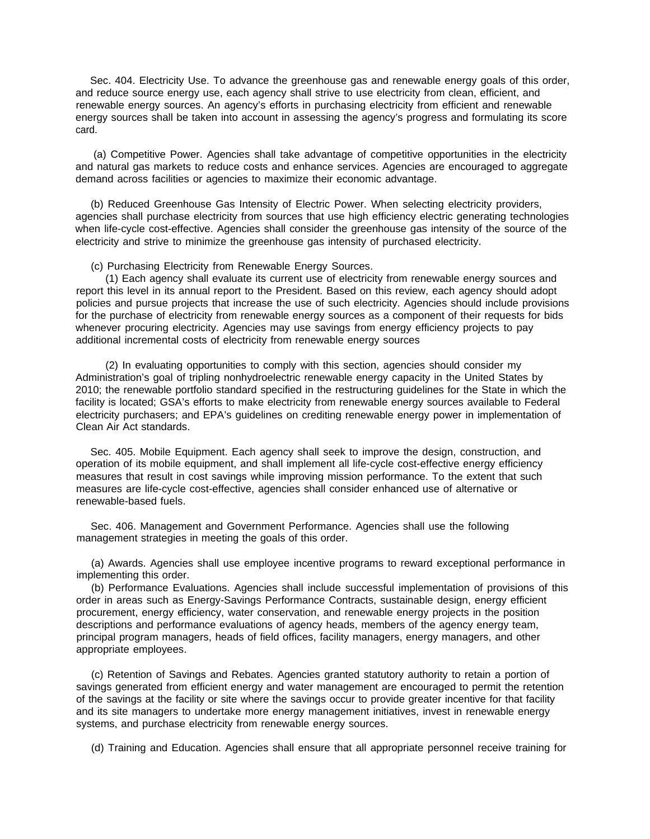Sec. 404. Electricity Use. To advance the greenhouse gas and renewable energy goals of this order, and reduce source energy use, each agency shall strive to use electricity from clean, efficient, and renewable energy sources. An agency's efforts in purchasing electricity from efficient and renewable energy sources shall be taken into account in assessing the agency's progress and formulating its score card.

(a) Competitive Power. Agencies shall take advantage of competitive opportunities in the electricity and natural gas markets to reduce costs and enhance services. Agencies are encouraged to aggregate demand across facilities or agencies to maximize their economic advantage.

(b) Reduced Greenhouse Gas Intensity of Electric Power. When selecting electricity providers, agencies shall purchase electricity from sources that use high efficiency electric generating technologies when life-cycle cost-effective. Agencies shall consider the greenhouse gas intensity of the source of the electricity and strive to minimize the greenhouse gas intensity of purchased electricity.

(c) Purchasing Electricity from Renewable Energy Sources.

(1) Each agency shall evaluate its current use of electricity from renewable energy sources and report this level in its annual report to the President. Based on this review, each agency should adopt policies and pursue projects that increase the use of such electricity. Agencies should include provisions for the purchase of electricity from renewable energy sources as a component of their requests for bids whenever procuring electricity. Agencies may use savings from energy efficiency projects to pay additional incremental costs of electricity from renewable energy sources

(2) In evaluating opportunities to comply with this section, agencies should consider my Administration's goal of tripling nonhydroelectric renewable energy capacity in the United States by 2010; the renewable portfolio standard specified in the restructuring guidelines for the State in which the facility is located; GSA's efforts to make electricity from renewable energy sources available to Federal electricity purchasers; and EPA's guidelines on crediting renewable energy power in implementation of Clean Air Act standards.

Sec. 405. Mobile Equipment. Each agency shall seek to improve the design, construction, and operation of its mobile equipment, and shall implement all life-cycle cost-effective energy efficiency measures that result in cost savings while improving mission performance. To the extent that such measures are life-cycle cost-effective, agencies shall consider enhanced use of alternative or renewable-based fuels.

Sec. 406. Management and Government Performance. Agencies shall use the following management strategies in meeting the goals of this order.

(a) Awards. Agencies shall use employee incentive programs to reward exceptional performance in implementing this order.

(b) Performance Evaluations. Agencies shall include successful implementation of provisions of this order in areas such as Energy-Savings Performance Contracts, sustainable design, energy efficient procurement, energy efficiency, water conservation, and renewable energy projects in the position descriptions and performance evaluations of agency heads, members of the agency energy team, principal program managers, heads of field offices, facility managers, energy managers, and other appropriate employees.

(c) Retention of Savings and Rebates. Agencies granted statutory authority to retain a portion of savings generated from efficient energy and water management are encouraged to permit the retention of the savings at the facility or site where the savings occur to provide greater incentive for that facility and its site managers to undertake more energy management initiatives, invest in renewable energy systems, and purchase electricity from renewable energy sources.

(d) Training and Education. Agencies shall ensure that all appropriate personnel receive training for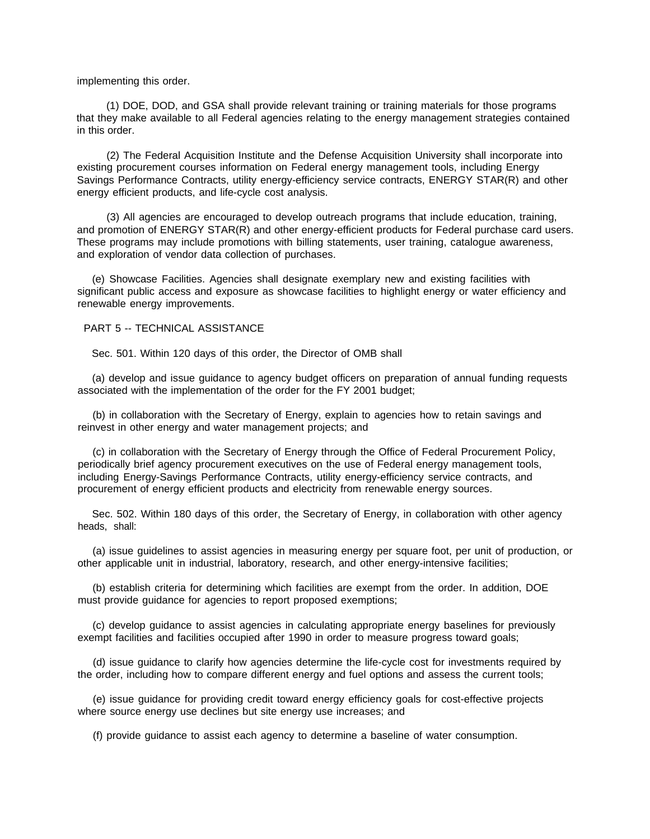implementing this order.

(1) DOE, DOD, and GSA shall provide relevant training or training materials for those programs that they make available to all Federal agencies relating to the energy management strategies contained in this order.

(2) The Federal Acquisition Institute and the Defense Acquisition University shall incorporate into existing procurement courses information on Federal energy management tools, including Energy Savings Performance Contracts, utility energy-efficiency service contracts, ENERGY STAR(R) and other energy efficient products, and life-cycle cost analysis.

(3) All agencies are encouraged to develop outreach programs that include education, training, and promotion of ENERGY STAR(R) and other energy-efficient products for Federal purchase card users. These programs may include promotions with billing statements, user training, catalogue awareness, and exploration of vendor data collection of purchases.

(e) Showcase Facilities. Agencies shall designate exemplary new and existing facilities with significant public access and exposure as showcase facilities to highlight energy or water efficiency and renewable energy improvements.

PART 5 -- TECHNICAL ASSISTANCE

Sec. 501. Within 120 days of this order, the Director of OMB shall

(a) develop and issue guidance to agency budget officers on preparation of annual funding requests associated with the implementation of the order for the FY 2001 budget;

(b) in collaboration with the Secretary of Energy, explain to agencies how to retain savings and reinvest in other energy and water management projects; and

(c) in collaboration with the Secretary of Energy through the Office of Federal Procurement Policy, periodically brief agency procurement executives on the use of Federal energy management tools, including Energy-Savings Performance Contracts, utility energy-efficiency service contracts, and procurement of energy efficient products and electricity from renewable energy sources.

Sec. 502. Within 180 days of this order, the Secretary of Energy, in collaboration with other agency heads, shall:

(a) issue guidelines to assist agencies in measuring energy per square foot, per unit of production, or other applicable unit in industrial, laboratory, research, and other energy-intensive facilities;

(b) establish criteria for determining which facilities are exempt from the order. In addition, DOE must provide guidance for agencies to report proposed exemptions;

(c) develop guidance to assist agencies in calculating appropriate energy baselines for previously exempt facilities and facilities occupied after 1990 in order to measure progress toward goals;

(d) issue guidance to clarify how agencies determine the life-cycle cost for investments required by the order, including how to compare different energy and fuel options and assess the current tools;

(e) issue guidance for providing credit toward energy efficiency goals for cost-effective projects where source energy use declines but site energy use increases; and

(f) provide guidance to assist each agency to determine a baseline of water consumption.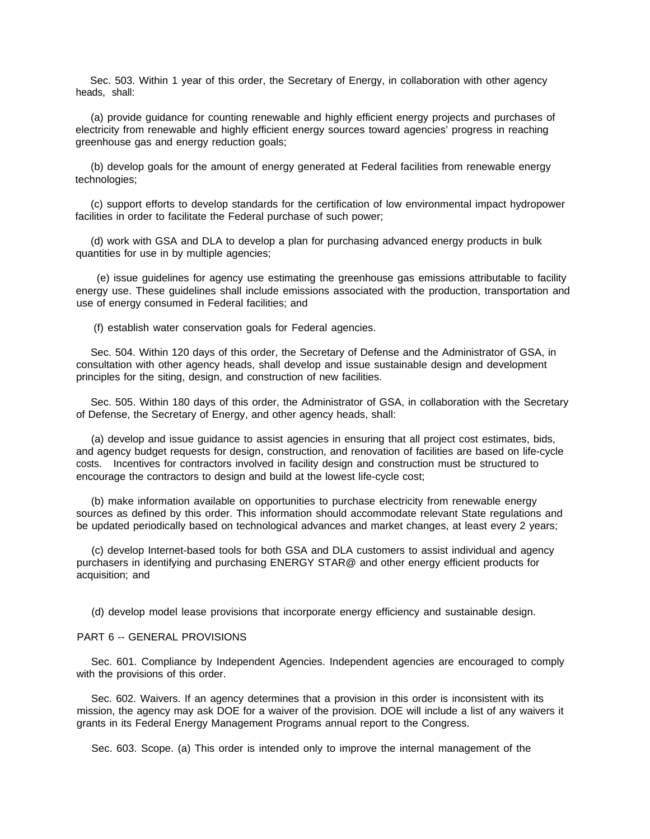Sec. 503. Within 1 year of this order, the Secretary of Energy, in collaboration with other agency heads, shall:

(a) provide guidance for counting renewable and highly efficient energy projects and purchases of electricity from renewable and highly efficient energy sources toward agencies' progress in reaching greenhouse gas and energy reduction goals;

(b) develop goals for the amount of energy generated at Federal facilities from renewable energy technologies;

(c) support efforts to develop standards for the certification of low environmental impact hydropower facilities in order to facilitate the Federal purchase of such power;

(d) work with GSA and DLA to develop a plan for purchasing advanced energy products in bulk quantities for use in by multiple agencies;

(e) issue guidelines for agency use estimating the greenhouse gas emissions attributable to facility energy use. These guidelines shall include emissions associated with the production, transportation and use of energy consumed in Federal facilities; and

(f) establish water conservation goals for Federal agencies.

Sec. 504. Within 120 days of this order, the Secretary of Defense and the Administrator of GSA, in consultation with other agency heads, shall develop and issue sustainable design and development principles for the siting, design, and construction of new facilities.

Sec. 505. Within 180 days of this order, the Administrator of GSA, in collaboration with the Secretary of Defense, the Secretary of Energy, and other agency heads, shall:

(a) develop and issue guidance to assist agencies in ensuring that all project cost estimates, bids, and agency budget requests for design, construction, and renovation of facilities are based on life-cycle costs. Incentives for contractors involved in facility design and construction must be structured to encourage the contractors to design and build at the lowest life-cycle cost;

(b) make information available on opportunities to purchase electricity from renewable energy sources as defined by this order. This information should accommodate relevant State regulations and be updated periodically based on technological advances and market changes, at least every 2 years;

(c) develop Internet-based tools for both GSA and DLA customers to assist individual and agency purchasers in identifying and purchasing ENERGY STAR@ and other energy efficient products for acquisition; and

(d) develop model lease provisions that incorporate energy efficiency and sustainable design.

### PART 6 -- GENERAL PROVISIONS

Sec. 601. Compliance by Independent Agencies. Independent agencies are encouraged to comply with the provisions of this order.

Sec. 602. Waivers. If an agency determines that a provision in this order is inconsistent with its mission, the agency may ask DOE for a waiver of the provision. DOE will include a list of any waivers it grants in its Federal Energy Management Programs annual report to the Congress.

Sec. 603. Scope. (a) This order is intended only to improve the internal management of the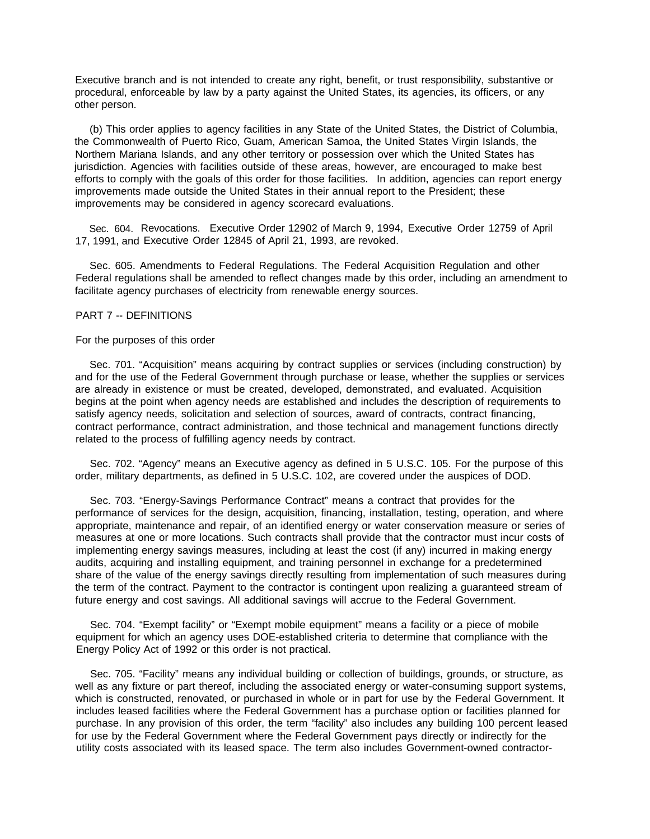Executive branch and is not intended to create any right, benefit, or trust responsibility, substantive or procedural, enforceable by law by a party against the United States, its agencies, its officers, or any other person.

(b) This order applies to agency facilities in any State of the United States, the District of Columbia, the Commonwealth of Puerto Rico, Guam, American Samoa, the United States Virgin Islands, the Northern Mariana Islands, and any other territory or possession over which the United States has jurisdiction. Agencies with facilities outside of these areas, however, are encouraged to make best efforts to comply with the goals of this order for those facilities. In addition, agencies can report energy improvements made outside the United States in their annual report to the President; these improvements may be considered in agency scorecard evaluations.

Sec. 604. Revocations. Executive Order 12902 of March 9, 1994, Executive Order 12759 of April 17, 1991, and Executive Order 12845 of April 21, 1993, are revoked.

Sec. 605. Amendments to Federal Regulations. The Federal Acquisition Regulation and other Federal regulations shall be amended to reflect changes made by this order, including an amendment to facilitate agency purchases of electricity from renewable energy sources.

### PART 7 -- DEFINITIONS

#### For the purposes of this order

Sec. 701. "Acquisition" means acquiring by contract supplies or services (including construction) by and for the use of the Federal Government through purchase or lease, whether the supplies or services are already in existence or must be created, developed, demonstrated, and evaluated. Acquisition begins at the point when agency needs are established and includes the description of requirements to satisfy agency needs, solicitation and selection of sources, award of contracts, contract financing, contract performance, contract administration, and those technical and management functions directly related to the process of fulfilling agency needs by contract.

Sec. 702. "Agency" means an Executive agency as defined in 5 U.S.C. 105. For the purpose of this order, military departments, as defined in 5 U.S.C. 102, are covered under the auspices of DOD.

Sec. 703. "Energy-Savings Performance Contract" means a contract that provides for the performance of services for the design, acquisition, financing, installation, testing, operation, and where appropriate, maintenance and repair, of an identified energy or water conservation measure or series of measures at one or more locations. Such contracts shall provide that the contractor must incur costs of implementing energy savings measures, including at least the cost (if any) incurred in making energy audits, acquiring and installing equipment, and training personnel in exchange for a predetermined share of the value of the energy savings directly resulting from implementation of such measures during the term of the contract. Payment to the contractor is contingent upon realizing a guaranteed stream of future energy and cost savings. All additional savings will accrue to the Federal Government.

Sec. 704. "Exempt facility" or "Exempt mobile equipment" means a facility or a piece of mobile equipment for which an agency uses DOE-established criteria to determine that compliance with the Energy Policy Act of 1992 or this order is not practical.

Sec. 705. "Facility" means any individual building or collection of buildings, grounds, or structure, as well as any fixture or part thereof, including the associated energy or water-consuming support systems, which is constructed, renovated, or purchased in whole or in part for use by the Federal Government. It includes leased facilities where the Federal Government has a purchase option or facilities planned for purchase. In any provision of this order, the term "facility" also includes any building 100 percent leased for use by the Federal Government where the Federal Government pays directly or indirectly for the utility costs associated with its leased space. The term also includes Government-owned contractor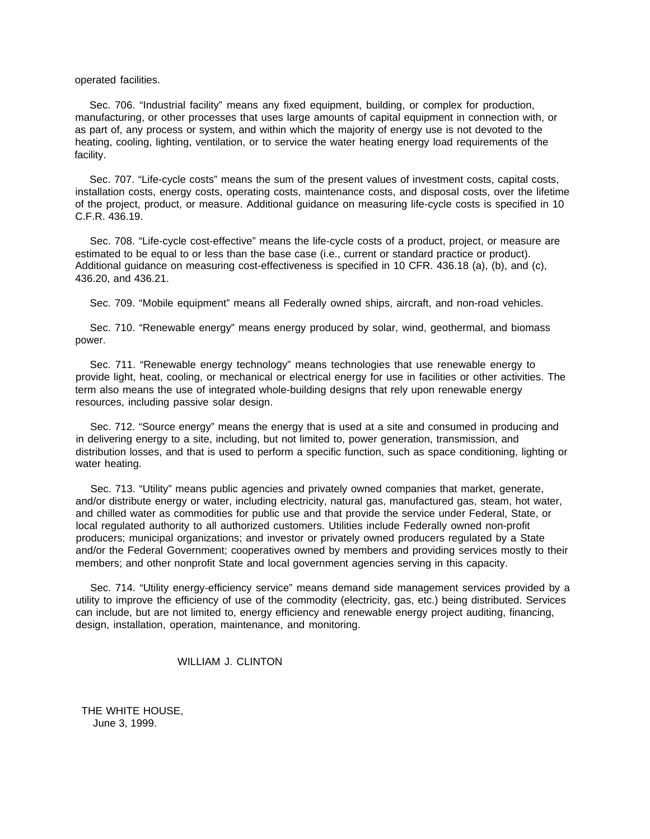operated facilities.

Sec. 706. "Industrial facility" means any fixed equipment, building, or complex for production, manufacturing, or other processes that uses large amounts of capital equipment in connection with, or as part of, any process or system, and within which the majority of energy use is not devoted to the heating, cooling, lighting, ventilation, or to service the water heating energy load requirements of the facility.

Sec. 707. "Life-cycle costs" means the sum of the present values of investment costs, capital costs, installation costs, energy costs, operating costs, maintenance costs, and disposal costs, over the lifetime of the project, product, or measure. Additional guidance on measuring life-cycle costs is specified in 10 C.F.R. 436.19.

Sec. 708. "Life-cycle cost-effective" means the life-cycle costs of a product, project, or measure are estimated to be equal to or less than the base case (i.e., current or standard practice or product). Additional guidance on measuring cost-effectiveness is specified in 10 CFR. 436.18 (a), (b), and (c), 436.20, and 436.21.

Sec. 709. "Mobile equipment" means all Federally owned ships, aircraft, and non-road vehicles.

Sec. 710. "Renewable energy" means energy produced by solar, wind, geothermal, and biomass power.

Sec. 711. "Renewable energy technology" means technologies that use renewable energy to provide light, heat, cooling, or mechanical or electrical energy for use in facilities or other activities. The term also means the use of integrated whole-building designs that rely upon renewable energy resources, including passive solar design.

Sec. 712. "Source energy" means the energy that is used at a site and consumed in producing and in delivering energy to a site, including, but not limited to, power generation, transmission, and distribution losses, and that is used to perform a specific function, such as space conditioning, lighting or water heating.

Sec. 713. "Utility" means public agencies and privately owned companies that market, generate, and/or distribute energy or water, including electricity, natural gas, manufactured gas, steam, hot water, and chilled water as commodities for public use and that provide the service under Federal, State, or local regulated authority to all authorized customers. Utilities include Federally owned non-profit producers; municipal organizations; and investor or privately owned producers regulated by a State and/or the Federal Government; cooperatives owned by members and providing services mostly to their members; and other nonprofit State and local government agencies serving in this capacity.

Sec. 714. "Utility energy-efficiency service" means demand side management services provided by a utility to improve the efficiency of use of the commodity (electricity, gas, etc.) being distributed. Services can include, but are not limited to, energy efficiency and renewable energy project auditing, financing, design, installation, operation, maintenance, and monitoring.

#### WILLIAM J. CLINTON

THE WHITE HOUSE, June 3, 1999.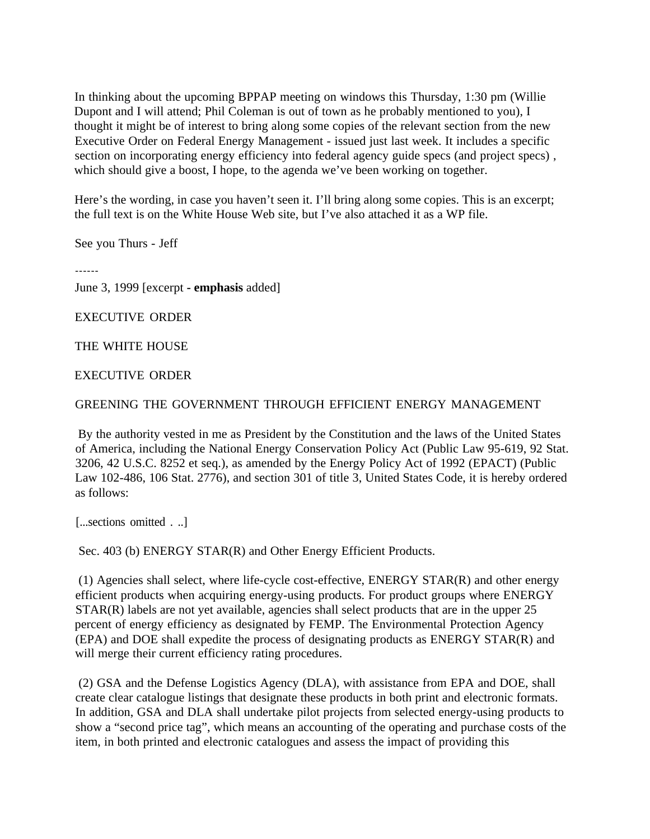In thinking about the upcoming BPPAP meeting on windows this Thursday, 1:30 pm (Willie Dupont and I will attend; Phil Coleman is out of town as he probably mentioned to you), I thought it might be of interest to bring along some copies of the relevant section from the new Executive Order on Federal Energy Management - issued just last week. It includes a specific section on incorporating energy efficiency into federal agency guide specs (and project specs), which should give a boost, I hope, to the agenda we've been working on together.

Here's the wording, in case you haven't seen it. I'll bring along some copies. This is an excerpt; the full text is on the White House Web site, but I've also attached it as a WP file.

See you Thurs - Jeff

------ June 3, 1999 [excerpt **- emphasis** added]

EXECUTIVE ORDER

THE WHITE HOUSE

# EXECUTIVE ORDER

# GREENING THE GOVERNMENT THROUGH EFFICIENT ENERGY MANAGEMENT

By the authority vested in me as President by the Constitution and the laws of the United States of America, including the National Energy Conservation Policy Act (Public Law 95-619, 92 Stat. 3206, 42 U.S.C. 8252 et seq.), as amended by the Energy Policy Act of 1992 (EPACT) (Public Law 102-486, 106 Stat. 2776), and section 301 of title 3, United States Code, it is hereby ordered as follows:

[...sections omitted . ..]

Sec. 403 (b) ENERGY STAR(R) and Other Energy Efficient Products.

(1) Agencies shall select, where life-cycle cost-effective, ENERGY STAR(R) and other energy efficient products when acquiring energy-using products. For product groups where ENERGY STAR(R) labels are not yet available, agencies shall select products that are in the upper 25 percent of energy efficiency as designated by FEMP. The Environmental Protection Agency (EPA) and DOE shall expedite the process of designating products as ENERGY STAR(R) and will merge their current efficiency rating procedures.

(2) GSA and the Defense Logistics Agency (DLA), with assistance from EPA and DOE, shall create clear catalogue listings that designate these products in both print and electronic formats. In addition, GSA and DLA shall undertake pilot projects from selected energy-using products to show a "second price tag", which means an accounting of the operating and purchase costs of the item, in both printed and electronic catalogues and assess the impact of providing this